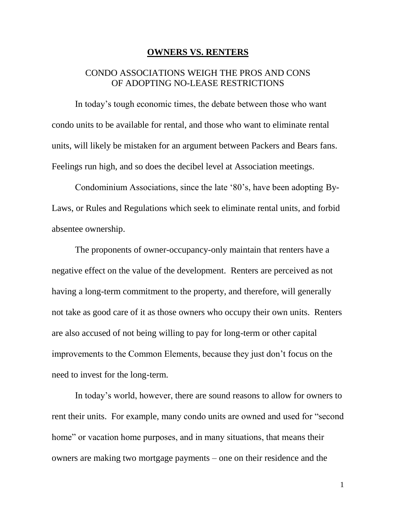## **OWNERS VS. RENTERS**

## CONDO ASSOCIATIONS WEIGH THE PROS AND CONS OF ADOPTING NO-LEASE RESTRICTIONS

In today's tough economic times, the debate between those who want condo units to be available for rental, and those who want to eliminate rental units, will likely be mistaken for an argument between Packers and Bears fans. Feelings run high, and so does the decibel level at Association meetings.

Condominium Associations, since the late '80's, have been adopting By-Laws, or Rules and Regulations which seek to eliminate rental units, and forbid absentee ownership.

The proponents of owner-occupancy-only maintain that renters have a negative effect on the value of the development. Renters are perceived as not having a long-term commitment to the property, and therefore, will generally not take as good care of it as those owners who occupy their own units. Renters are also accused of not being willing to pay for long-term or other capital improvements to the Common Elements, because they just don't focus on the need to invest for the long-term.

In today's world, however, there are sound reasons to allow for owners to rent their units. For example, many condo units are owned and used for "second home" or vacation home purposes, and in many situations, that means their owners are making two mortgage payments – one on their residence and the

1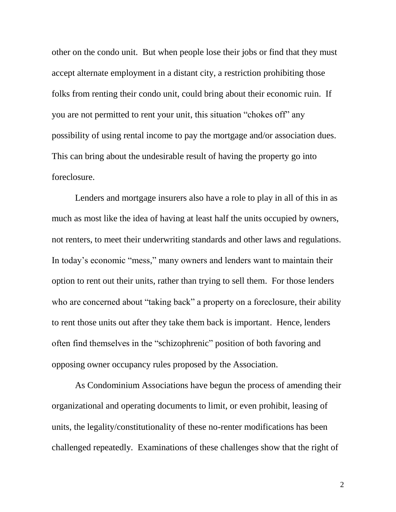other on the condo unit. But when people lose their jobs or find that they must accept alternate employment in a distant city, a restriction prohibiting those folks from renting their condo unit, could bring about their economic ruin. If you are not permitted to rent your unit, this situation "chokes off" any possibility of using rental income to pay the mortgage and/or association dues. This can bring about the undesirable result of having the property go into foreclosure.

Lenders and mortgage insurers also have a role to play in all of this in as much as most like the idea of having at least half the units occupied by owners, not renters, to meet their underwriting standards and other laws and regulations. In today's economic "mess," many owners and lenders want to maintain their option to rent out their units, rather than trying to sell them. For those lenders who are concerned about "taking back" a property on a foreclosure, their ability to rent those units out after they take them back is important. Hence, lenders often find themselves in the "schizophrenic" position of both favoring and opposing owner occupancy rules proposed by the Association.

As Condominium Associations have begun the process of amending their organizational and operating documents to limit, or even prohibit, leasing of units, the legality/constitutionality of these no-renter modifications has been challenged repeatedly. Examinations of these challenges show that the right of

2